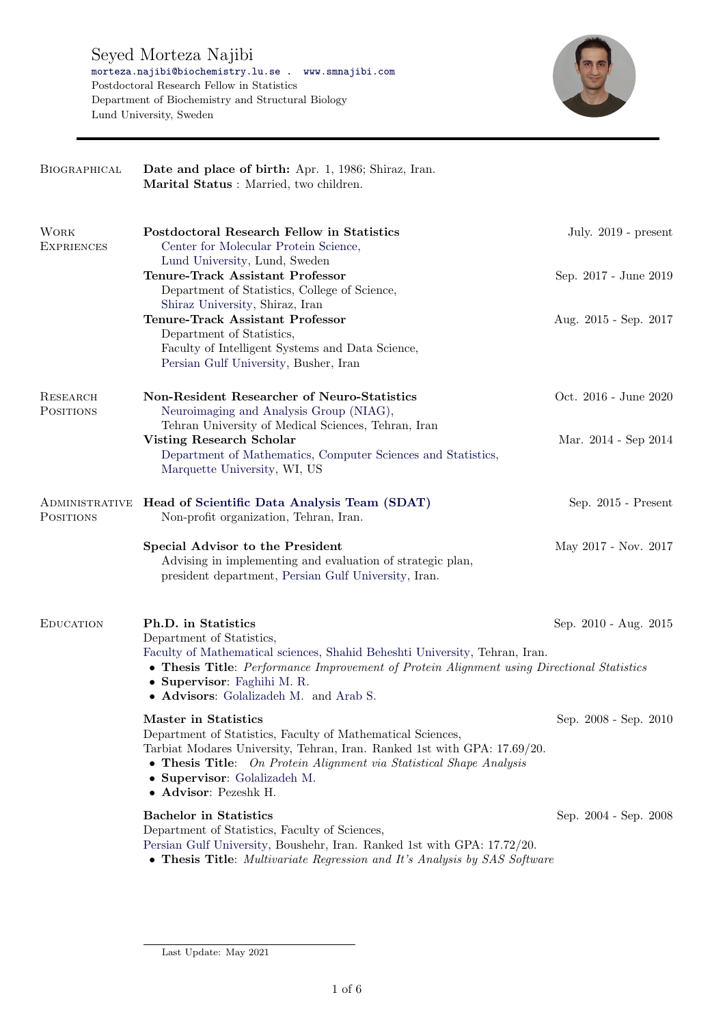

| BIOGRAPHICAL                     | Date and place of birth: Apr. 1, 1986; Shiraz, Iran.<br>Marital Status : Married, two children.                                                                                                                                                                                                       |                        |
|----------------------------------|-------------------------------------------------------------------------------------------------------------------------------------------------------------------------------------------------------------------------------------------------------------------------------------------------------|------------------------|
| <b>WORK</b><br><b>EXPRIENCES</b> | Postdoctoral Research Fellow in Statistics<br>Center for Molecular Protein Science,                                                                                                                                                                                                                   | July. $2019$ - present |
|                                  | Lund University, Lund, Sweden<br><b>Tenure-Track Assistant Professor</b><br>Department of Statistics, College of Science,<br>Shiraz University, Shiraz, Iran                                                                                                                                          | Sep. 2017 - June 2019  |
|                                  | <b>Tenure-Track Assistant Professor</b><br>Department of Statistics,<br>Faculty of Intelligent Systems and Data Science,<br>Persian Gulf University, Busher, Iran                                                                                                                                     | Aug. 2015 - Sep. 2017  |
| <b>RESEARCH</b><br>POSITIONS     | Non-Resident Researcher of Neuro-Statistics<br>Neuroimaging and Analysis Group (NIAG),                                                                                                                                                                                                                | Oct. 2016 - June 2020  |
|                                  | Tehran University of Medical Sciences, Tehran, Iran<br><b>Visting Research Scholar</b><br>Department of Mathematics, Computer Sciences and Statistics,<br>Marquette University, WI, US                                                                                                                | Mar. 2014 - Sep 2014   |
| <b>POSITIONS</b>                 | ADMINISTRATIVE Head of Scientific Data Analysis Team (SDAT)<br>Non-profit organization, Tehran, Iran.                                                                                                                                                                                                 | Sep. 2015 - Present    |
|                                  | Special Advisor to the President<br>Advising in implementing and evaluation of strategic plan,<br>president department, Persian Gulf University, Iran.                                                                                                                                                | May 2017 - Nov. 2017   |
| <b>EDUCATION</b>                 | Ph.D. in Statistics<br>Department of Statistics,<br>Faculty of Mathematical sciences, Shahid Beheshti University, Tehran, Iran.<br>• Thesis Title: Performance Improvement of Protein Alignment using Directional Statistics<br>• Supervisor: Faghihi M. R.<br>• Advisors: Golalizadeh M. and Arab S. | Sep. 2010 - Aug. 2015  |
|                                  | Master in Statistics<br>Department of Statistics, Faculty of Mathematical Sciences,<br>Tarbiat Modares University, Tehran, Iran. Ranked 1st with GPA: 17.69/20.<br>• Thesis Title: On Protein Alignment via Statistical Shape Analysis<br>• Supervisor: Golalizadeh M.<br>• Advisor: Pezeshk H.       | Sep. 2008 - Sep. 2010  |
|                                  | <b>Bachelor</b> in Statistics<br>Department of Statistics, Faculty of Sciences,<br>Persian Gulf University, Boushehr, Iran. Ranked 1st with GPA: 17.72/20.<br>• Thesis Title: Multivariate Regression and It's Analysis by SAS Software                                                               | Sep. 2004 - Sep. 2008  |

Last Update: May 2021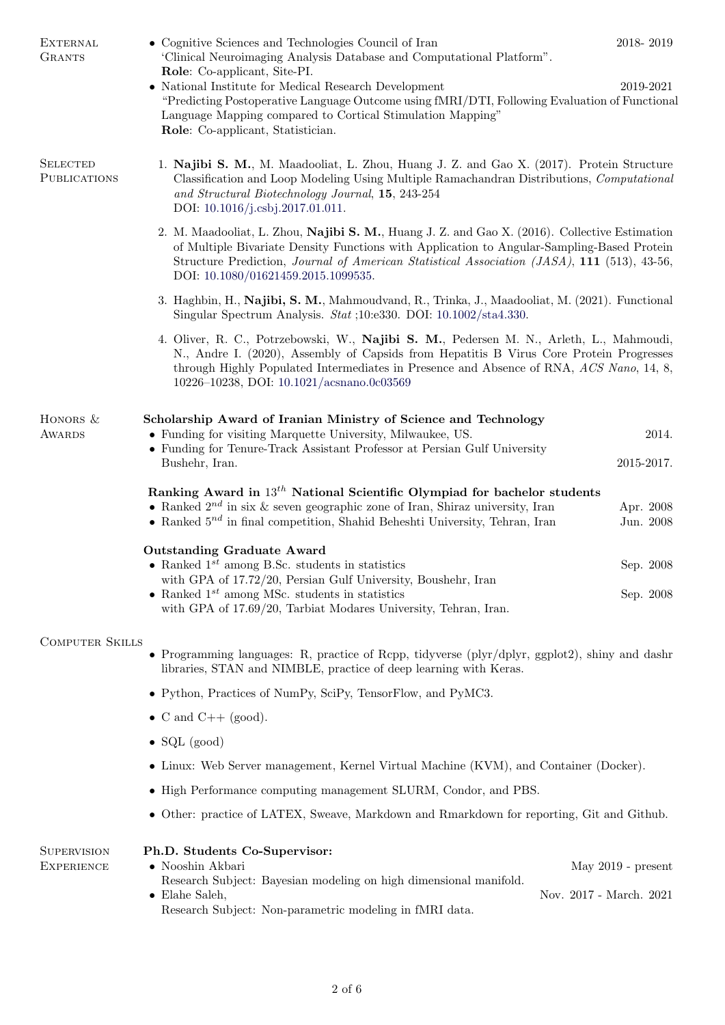| <b>EXTERNAL</b><br><b>GRANTS</b>                                                                                                | • Cognitive Sciences and Technologies Council of Iran<br>'Clinical Neuroimaging Analysis Database and Computational Platform".<br>Role: Co-applicant, Site-PI.                                                                                                                                                                    | 2018-2019                                       |  |
|---------------------------------------------------------------------------------------------------------------------------------|-----------------------------------------------------------------------------------------------------------------------------------------------------------------------------------------------------------------------------------------------------------------------------------------------------------------------------------|-------------------------------------------------|--|
|                                                                                                                                 | • National Institute for Medical Research Development<br>"Predicting Postoperative Language Outcome using fMRI/DTI, Following Evaluation of Functional<br>Language Mapping compared to Cortical Stimulation Mapping"<br>Role: Co-applicant, Statistician.                                                                         | 2019-2021                                       |  |
| <b>SELECTED</b><br><b>PUBLICATIONS</b>                                                                                          | 1. Najibi S. M., M. Maadooliat, L. Zhou, Huang J. Z. and Gao X. (2017). Protein Structure<br>Classification and Loop Modeling Using Multiple Ramachandran Distributions, Computational<br>and Structural Biotechnology Journal, 15, 243-254<br>DOI: 10.1016/j.csbj.2017.01.011.                                                   |                                                 |  |
|                                                                                                                                 | 2. M. Maadooliat, L. Zhou, Najibi S. M., Huang J. Z. and Gao X. (2016). Collective Estimation<br>of Multiple Bivariate Density Functions with Application to Angular-Sampling-Based Protein<br>Structure Prediction, Journal of American Statistical Association (JASA), 111 (513), 43-56,<br>DOI: 10.1080/01621459.2015.1099535. |                                                 |  |
|                                                                                                                                 | 3. Haghbin, H., Najibi, S. M., Mahmoudvand, R., Trinka, J., Maadooliat, M. (2021). Functional<br>Singular Spectrum Analysis. Stat ;10:e330. DOI: 10.1002/sta4.330.                                                                                                                                                                |                                                 |  |
|                                                                                                                                 | 4. Oliver, R. C., Potrzebowski, W., Najibi S. M., Pedersen M. N., Arleth, L., Mahmoudi,<br>N., Andre I. (2020), Assembly of Capsids from Hepatitis B Virus Core Protein Progresses<br>through Highly Populated Intermediates in Presence and Absence of RNA, ACS Nano, 14, 8,<br>10226-10238, DOI: 10.1021/acsnano.0c03569        |                                                 |  |
| HONORS &<br>AWARDS                                                                                                              | Scholarship Award of Iranian Ministry of Science and Technology<br>• Funding for visiting Marquette University, Milwaukee, US.<br>• Funding for Tenure-Track Assistant Professor at Persian Gulf University<br>Bushehr, Iran.                                                                                                     | 2014.<br>2015-2017.                             |  |
|                                                                                                                                 | Ranking Award in $13^{th}$ National Scientific Olympiad for bachelor students<br>• Ranked $2^{nd}$ in six & seven geographic zone of Iran, Shiraz university, Iran<br>• Ranked $5^{nd}$ in final competition, Shahid Beheshti University, Tehran, Iran                                                                            | Apr. 2008<br>Jun. 2008                          |  |
|                                                                                                                                 | <b>Outstanding Graduate Award</b><br>• Ranked $1^{st}$ among B.Sc. students in statistics<br>with GPA of 17.72/20, Persian Gulf University, Boushehr, Iran<br>• Ranked $1^{st}$ among MSc. students in statistics<br>with GPA of 17.69/20, Tarbiat Modares University, Tehran, Iran.                                              | Sep. 2008<br>Sep. 2008                          |  |
| <b>COMPUTER SKILLS</b><br>• Programming languages: R, practice of Rcpp, tidyverse ( $plyr/dplyr$ , $ggplot2$ ), shiny and dashr |                                                                                                                                                                                                                                                                                                                                   |                                                 |  |
|                                                                                                                                 | libraries, STAN and NIMBLE, practice of deep learning with Keras.                                                                                                                                                                                                                                                                 |                                                 |  |
|                                                                                                                                 | • Python, Practices of NumPy, SciPy, TensorFlow, and PyMC3.                                                                                                                                                                                                                                                                       |                                                 |  |
|                                                                                                                                 | • C and C++ (good).                                                                                                                                                                                                                                                                                                               |                                                 |  |
|                                                                                                                                 | $\bullet$ SQL (good)                                                                                                                                                                                                                                                                                                              |                                                 |  |
|                                                                                                                                 | • Linux: Web Server management, Kernel Virtual Machine (KVM), and Container (Docker).                                                                                                                                                                                                                                             |                                                 |  |
|                                                                                                                                 | • High Performance computing management SLURM, Condor, and PBS.                                                                                                                                                                                                                                                                   |                                                 |  |
|                                                                                                                                 | • Other: practice of LATEX, Sweave, Markdown and Rmarkdown for reporting, Git and Github.                                                                                                                                                                                                                                         |                                                 |  |
| <b>SUPERVISION</b><br><b>EXPERIENCE</b>                                                                                         | Ph.D. Students Co-Supervisor:<br>• Nooshin Akbari<br>Research Subject: Bayesian modeling on high dimensional manifold.<br>$\bullet$ Elahe Saleh,<br>Research Subject: Non-parametric modeling in fMRI data.                                                                                                                       | May $2019$ - present<br>Nov. 2017 - March. 2021 |  |
|                                                                                                                                 |                                                                                                                                                                                                                                                                                                                                   |                                                 |  |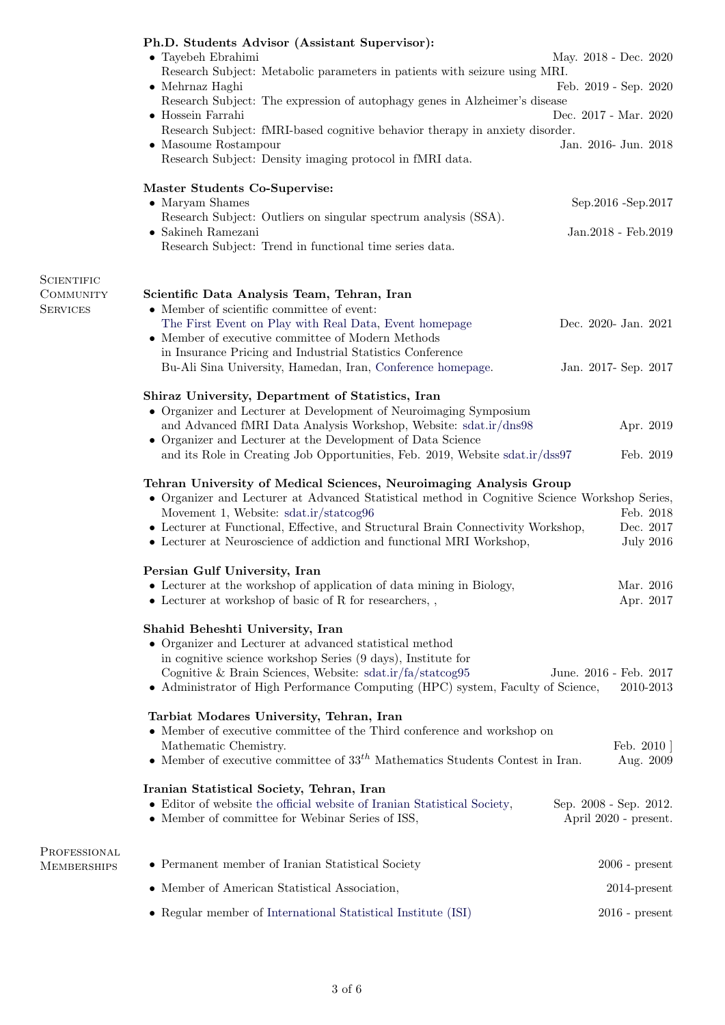|                    | Ph.D. Students Advisor (Assistant Supervisor):<br>$\bullet$ Tayebeh Ebrahimi<br>Research Subject: Metabolic parameters in patients with seizure using MRI.<br>$\bullet$ Mehrnaz Haghi<br>Research Subject: The expression of autophagy genes in Alzheimer's disease<br>$\bullet$ Hossein Farrahi<br>Research Subject: fMRI-based cognitive behavior therapy in anxiety disorder.<br>$\bullet$ Masoume Rostampour<br>Research Subject: Density imaging protocol in fMRI data.<br>Master Students Co-Supervise:<br>$\bullet$ Maryam Shames<br>Research Subject: Outliers on singular spectrum analysis (SSA). | May. 2018 - Dec. 2020<br>Feb. 2019 - Sep. 2020<br>Dec. 2017 - Mar. 2020<br>Jan. 2016- Jun. 2018<br>Sep.2016 - Sep.2017 |
|--------------------|-------------------------------------------------------------------------------------------------------------------------------------------------------------------------------------------------------------------------------------------------------------------------------------------------------------------------------------------------------------------------------------------------------------------------------------------------------------------------------------------------------------------------------------------------------------------------------------------------------------|------------------------------------------------------------------------------------------------------------------------|
|                    | $\bullet$ Sakineh Ramezani<br>Research Subject: Trend in functional time series data.                                                                                                                                                                                                                                                                                                                                                                                                                                                                                                                       | Jan. 2018 - Feb. 2019                                                                                                  |
| <b>SCIENTIFIC</b>  |                                                                                                                                                                                                                                                                                                                                                                                                                                                                                                                                                                                                             |                                                                                                                        |
| <b>COMMUNITY</b>   | Scientific Data Analysis Team, Tehran, Iran                                                                                                                                                                                                                                                                                                                                                                                                                                                                                                                                                                 |                                                                                                                        |
| <b>SERVICES</b>    | • Member of scientific committee of event:                                                                                                                                                                                                                                                                                                                                                                                                                                                                                                                                                                  |                                                                                                                        |
|                    | The First Event on Play with Real Data, Event homepage<br>$\bullet\,$ Member of executive committee of Modern Methods                                                                                                                                                                                                                                                                                                                                                                                                                                                                                       | Dec. 2020- Jan. 2021                                                                                                   |
|                    | in Insurance Pricing and Industrial Statistics Conference                                                                                                                                                                                                                                                                                                                                                                                                                                                                                                                                                   |                                                                                                                        |
|                    | Bu-Ali Sina University, Hamedan, Iran, Conference homepage.                                                                                                                                                                                                                                                                                                                                                                                                                                                                                                                                                 | Jan. 2017- Sep. 2017                                                                                                   |
|                    |                                                                                                                                                                                                                                                                                                                                                                                                                                                                                                                                                                                                             |                                                                                                                        |
|                    | Shiraz University, Department of Statistics, Iran<br>• Organizer and Lecturer at Development of Neuroimaging Symposium                                                                                                                                                                                                                                                                                                                                                                                                                                                                                      |                                                                                                                        |
|                    | and Advanced fMRI Data Analysis Workshop, Website: sdat.ir/dns98                                                                                                                                                                                                                                                                                                                                                                                                                                                                                                                                            | Apr. 2019                                                                                                              |
|                    | • Organizer and Lecturer at the Development of Data Science                                                                                                                                                                                                                                                                                                                                                                                                                                                                                                                                                 |                                                                                                                        |
|                    | and its Role in Creating Job Opportunities, Feb. 2019, Website sdat.ir/dss97                                                                                                                                                                                                                                                                                                                                                                                                                                                                                                                                | Feb. 2019                                                                                                              |
|                    | Tehran University of Medical Sciences, Neuroimaging Analysis Group<br>• Organizer and Lecturer at Advanced Statistical method in Cognitive Science Workshop Series,<br>Movement 1, Website: sdat.ir/statcog96<br>• Lecturer at Functional, Effective, and Structural Brain Connectivity Workshop,<br>• Lecturer at Neuroscience of addiction and functional MRI Workshop,                                                                                                                                                                                                                                   | Feb. 2018<br>Dec. 2017<br><b>July 2016</b>                                                                             |
|                    |                                                                                                                                                                                                                                                                                                                                                                                                                                                                                                                                                                                                             |                                                                                                                        |
|                    | Persian Gulf University, Iran                                                                                                                                                                                                                                                                                                                                                                                                                                                                                                                                                                               |                                                                                                                        |
|                    | • Lecturer at the workshop of application of data mining in Biology,                                                                                                                                                                                                                                                                                                                                                                                                                                                                                                                                        | Mar. 2016                                                                                                              |
|                    | $\bullet$ Lecturer at workshop of basic of R for researchers, ,                                                                                                                                                                                                                                                                                                                                                                                                                                                                                                                                             | Apr. 2017                                                                                                              |
|                    | Shahid Beheshti University, Iran<br>• Organizer and Lecturer at advanced statistical method<br>in cognitive science workshop Series (9 days), Institute for<br>Cognitive & Brain Sciences, Website: sdat.ir/fa/statcog95<br>• Administrator of High Performance Computing (HPC) system, Faculty of Science,                                                                                                                                                                                                                                                                                                 | June. 2016 - Feb. 2017<br>2010-2013                                                                                    |
|                    | Tarbiat Modares University, Tehran, Iran                                                                                                                                                                                                                                                                                                                                                                                                                                                                                                                                                                    |                                                                                                                        |
|                    | • Member of executive committee of the Third conference and workshop on                                                                                                                                                                                                                                                                                                                                                                                                                                                                                                                                     |                                                                                                                        |
|                    | Mathematic Chemistry.                                                                                                                                                                                                                                                                                                                                                                                                                                                                                                                                                                                       | Feb. $2010$                                                                                                            |
|                    | • Member of executive committee of $33th$ Mathematics Students Contest in Iran.                                                                                                                                                                                                                                                                                                                                                                                                                                                                                                                             | Aug. 2009                                                                                                              |
|                    | Iranian Statistical Society, Tehran, Iran<br>• Editor of website the official website of Iranian Statistical Society,<br>• Member of committee for Webinar Series of ISS,                                                                                                                                                                                                                                                                                                                                                                                                                                   | Sep. 2008 - Sep. 2012.<br>April 2020 - present.                                                                        |
| PROFESSIONAL       |                                                                                                                                                                                                                                                                                                                                                                                                                                                                                                                                                                                                             |                                                                                                                        |
| <b>MEMBERSHIPS</b> | • Permanent member of Iranian Statistical Society                                                                                                                                                                                                                                                                                                                                                                                                                                                                                                                                                           | $2006$ - present                                                                                                       |
|                    | • Member of American Statistical Association,                                                                                                                                                                                                                                                                                                                                                                                                                                                                                                                                                               | $2014$ -present                                                                                                        |
|                    | • Regular member of International Statistical Institute (ISI)                                                                                                                                                                                                                                                                                                                                                                                                                                                                                                                                               | $2016$ - present                                                                                                       |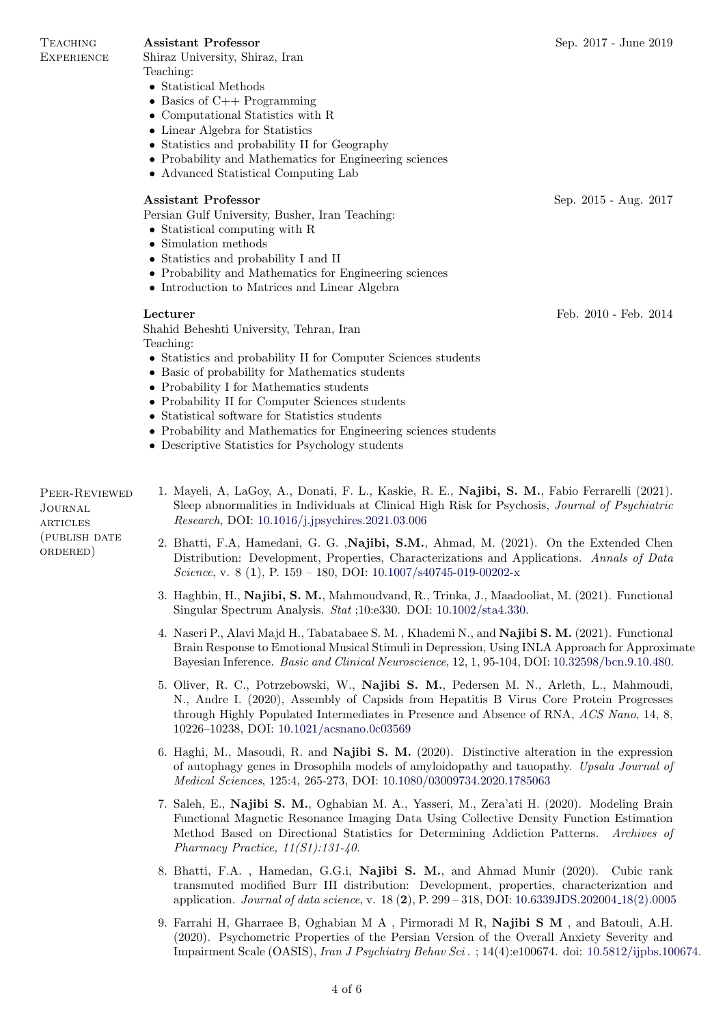Lecturer Feb. 2010 - Feb. 2014

**TEACHING EXPERIENCE** 

Shiraz University, Shiraz, Iran

- Teaching: • Statistical Methods
- Basics of C++ Programming
- Computational Statistics with R
- Linear Algebra for Statistics
- Statistics and probability II for Geography
- Probability and Mathematics for Engineering sciences
- Advanced Statistical Computing Lab

## Assistant Professor Sep. 2015 - Aug. 2017

Persian Gulf University, Busher, Iran Teaching:

- Statistical computing with R
- Simulation methods
- Statistics and probability I and II
- Probability and Mathematics for Engineering sciences
- Introduction to Matrices and Linear Algebra

Shahid Beheshti University, Tehran, Iran Teaching:

- Statistics and probability II for Computer Sciences students
- Basic of probability for Mathematics students
- Probability I for Mathematics students
- Probability II for Computer Sciences students
- Statistical software for Statistics students
- Probability and Mathematics for Engineering sciences students
- Descriptive Statistics for Psychology students

Peer-Reviewed Journal **ARTICLES** (publish date ordered)

- 1. Mayeli, A, LaGoy, A., Donati, F. L., Kaskie, R. E., Najibi, S. M., Fabio Ferrarelli (2021). Sleep abnormalities in Individuals at Clinical High Risk for Psychosis, Journal of Psychiatric Research, DOI: [10.1016/j.jpsychires.2021.03.006](https://doi.org/10.1016/j.jpsychires.2021.03.006)
- 2. Bhatti, F.A, Hamedani, G. G. ,Najibi, S.M., Ahmad, M. (2021). On the Extended Chen Distribution: Development, Properties, Characterizations and Applications. Annals of Data Science, v. 8 (1), P. 159 – 180, DOI:  $10.1007 \text{/} \text{s}40745 \text{-} 019 \text{-} 00202 \text{-} \text{x}$
- 3. Haghbin, H., Najibi, S. M., Mahmoudvand, R., Trinka, J., Maadooliat, M. (2021). Functional Singular Spectrum Analysis. Stat ;10:e330. DOI: [10.1002/sta4.330.](https://doi.org/10.1002/sta4.330)
- 4. Naseri P., Alavi Majd H., Tabatabaee S. M. , Khademi N., and Najibi S. M. (2021). Functional Brain Response to Emotional Musical Stimuli in Depression, Using INLA Approach for Approximate Bayesian Inference. Basic and Clinical Neuroscience, 12, 1, 95-104, DOI: [10.32598/bcn.9.10.480.](http://doi.org/10.32598/bcn.9.10.480)
- 5. Oliver, R. C., Potrzebowski, W., Najibi S. M., Pedersen M. N., Arleth, L., Mahmoudi, N., Andre I. (2020), Assembly of Capsids from Hepatitis B Virus Core Protein Progresses through Highly Populated Intermediates in Presence and Absence of RNA, ACS Nano, 14, 8, 10226–10238, DOI: [10.1021/acsnano.0c03569](http://dx.doi.org/10.1021/acsnano.0c03569)
- 6. Haghi, M., Masoudi, R. and Najibi S. M. (2020). Distinctive alteration in the expression of autophagy genes in Drosophila models of amyloidopathy and tauopathy. Upsala Journal of Medical Sciences, 125:4, 265-273, DOI: [10.1080/03009734.2020.1785063](https://doi.org/10.1080/03009734.2020.1785063)
- 7. Saleh, E., Najibi S. M., Oghabian M. A., Yasseri, M., Zera'ati H. (2020). Modeling Brain Functional Magnetic Resonance Imaging Data Using Collective Density Function Estimation Method Based on Directional Statistics for Determining Addiction Patterns. Archives of Pharmacy Practice, 11(S1):131-40.
- 8. Bhatti, F.A. , Hamedan, G.G.i, Najibi S. M., and Ahmad Munir (2020). Cubic rank transmuted modified Burr III distribution: Development, properties, characterization and application. Journal of data science, v. 18  $(2)$ , P. 299 – 318, DOI: [10.6339JDS.202004](https://doi.org/10.6339/JDS.202004_18(2).0005).18(2).0005
- 9. Farrahi H, Gharraee B, Oghabian M A , Pirmoradi M R, Najibi S M , and Batouli, A.H. (2020). Psychometric Properties of the Persian Version of the Overall Anxiety Severity and Impairment Scale (OASIS), Iran J Psychiatry Behav Sci . ; 14(4):e100674. doi: [10.5812/ijpbs.100674.](https://sites.kowsarpub.com/ijpbs/articles/100674.html)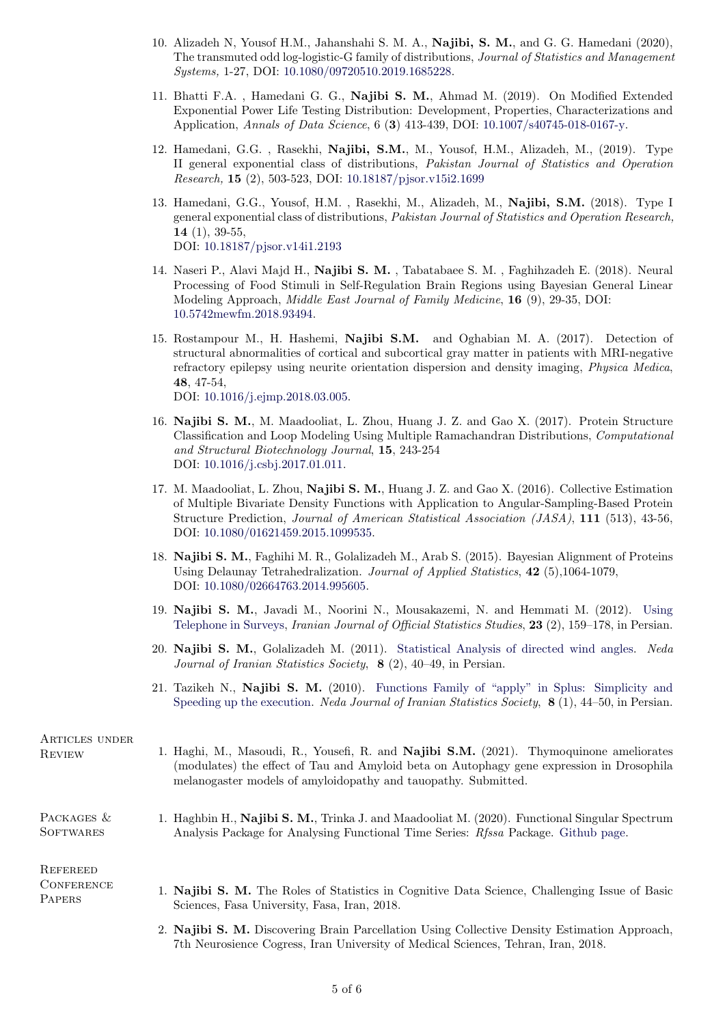- 10. Alizadeh N, Yousof H.M., Jahanshahi S. M. A., Najibi, S. M., and G. G. Hamedani (2020), The transmuted odd log-logistic-G family of distributions, Journal of Statistics and Management Systems, 1-27, DOI: [10.1080/09720510.2019.1685228.](https://doi.org/10.1080/09720510.2019.1685228)
- 11. Bhatti F.A. , Hamedani G. G., Najibi S. M., Ahmad M. (2019). On Modified Extended Exponential Power Life Testing Distribution: Development, Properties, Characterizations and Application, Annals of Data Science, 6 (3) 413-439, DOI: [10.1007/s40745-018-0167-y.](https://doi.org/10.1007/s40745-018-0167-y)
- 12. Hamedani, G.G. , Rasekhi, Najibi, S.M., M., Yousof, H.M., Alizadeh, M., (2019). Type II general exponential class of distributions, Pakistan Journal of Statistics and Operation Research, 15 (2), 503-523, DOI: [10.18187/pjsor.v15i2.1699](https://doi.org/10.18187/pjsor.v15i2.1699)
- 13. Hamedani, G.G., Yousof, H.M. , Rasekhi, M., Alizadeh, M., Najibi, S.M. (2018). Type I general exponential class of distributions, Pakistan Journal of Statistics and Operation Research, 14 (1), 39-55, DOI: [10.18187/pjsor.v14i1.2193](https://doi.org/10.18187/pjsor.v14i1.2193)
- 14. Naseri P., Alavi Majd H., Najibi S. M. , Tabatabaee S. M. , Faghihzadeh E. (2018). Neural Processing of Food Stimuli in Self-Regulation Brain Regions using Bayesian General Linear Modeling Approach, Middle East Journal of Family Medicine, 16 (9), 29-35, DOI: [10.5742mewfm.2018.93494.](http://www.mejfm.com/September%202018/Food%20stimuli.pdf)
- 15. Rostampour M., H. Hashemi, Najibi S.M. and Oghabian M. A. (2017). Detection of structural abnormalities of cortical and subcortical gray matter in patients with MRI-negative refractory epilepsy using neurite orientation dispersion and density imaging, Physica Medica, 48, 47-54, DOI: [10.1016/j.ejmp.2018.03.005.](https://doi.org/10.1016/j.ejmp.2018.03.005)
- 16. Najibi S. M., M. Maadooliat, L. Zhou, Huang J. Z. and Gao X. (2017). Protein Structure Classification and Loop Modeling Using Multiple Ramachandran Distributions, Computational and Structural Biotechnology Journal, 15, 243-254 DOI: [10.1016/j.csbj.2017.01.011.](https://www.ncbi.nlm.nih.gov/pubmed/28280526)
- 17. M. Maadooliat, L. Zhou, Najibi S. M., Huang J. Z. and Gao X. (2016). Collective Estimation of Multiple Bivariate Density Functions with Application to Angular-Sampling-Based Protein Structure Prediction, Journal of American Statistical Association (JASA), 111 (513), 43-56, DOI: [10.1080/01621459.2015.1099535.](http://www.tandfonline.com/doi/abs/10.1080/01621459.2015.1099535#.VpgCVoTccto)
- 18. Najibi S. M., Faghihi M. R., Golalizadeh M., Arab S. (2015). Bayesian Alignment of Proteins Using Delaunay Tetrahedralization. Journal of Applied Statistics, 42 (5),1064-1079, DOI: [10.1080/02664763.2014.995605.](http://www.tandfonline.com/doi/abs/10.1080/02664763.2014.995605?journalCode=cjas20#preview)
- 19. Najibi S. M., Javadi M., Noorini N., Mousakazemi, N. and Hemmati M. (2012). [Using](http://ijoss.srtc.ac.ir/fa/journal/ChapterView/0/130/305/673/.html) [Telephone in Surveys,](http://ijoss.srtc.ac.ir/fa/journal/ChapterView/0/130/305/673/.html) *Iranian Journal of Official Statistics Studies*, 23 (2), 159–178, in Persian.
- 20. Najibi S. M., Golalizadeh M. (2011). [Statistical Analysis of directed wind angles.](http://neda.irstat.ir/browse.php?a_code=A-10-1-24&sid=1&slc_lang=fa) Neda Journal of Iranian Statistics Society, 8 (2), 40–49, in Persian.
- 21. Tazikeh N., Najibi S. M. (2010). [Functions Family of "apply" in Splus: Simplicity and](http://neda.irstat.ir/browse.php?a_id=122&sid=1&slc_lang=fa) [Speeding up the execution.](http://neda.irstat.ir/browse.php?a_id=122&sid=1&slc_lang=fa) *Neda Journal of Iranian Statistics Society*,  $\mathbf{8}$  (1), 44–50, in Persian.

| ARTICLES UNDER<br><b>REVIEW</b>                | 1. Haghi, M., Masoudi, R., Yousefi, R. and <b>Najibi S.M.</b> (2021). Thymoquinone ameliorates<br>(modulates) the effect of Tau and Amyloid beta on Autophagy gene expression in Drosophila<br>melanogaster models of amyloidopathy and tauopathy. Submitted. |
|------------------------------------------------|---------------------------------------------------------------------------------------------------------------------------------------------------------------------------------------------------------------------------------------------------------------|
| PACKAGES &<br><b>SOFTWARES</b>                 | 1. Haghbin H., Najibi S. M., Trinka J. and Maadooliat M. (2020). Functional Singular Spectrum<br>Analysis Package for Analysing Functional Time Series: Rfssa Package. Github page.                                                                           |
| REFEREED<br><b>CONFERENCE</b><br><b>PAPERS</b> | 1. Najibi S. M. The Roles of Statistics in Cognitive Data Science, Challenging Issue of Basic<br>Sciences, Fasa University, Fasa, Iran, 2018.                                                                                                                 |
|                                                | 2. Najibi S. M. Discovering Brain Parcellation Using Collective Density Estimation Approach,<br>7th Neurosience Cogress, Iran University of Medical Sciences, Tehran, Iran, 2018.                                                                             |